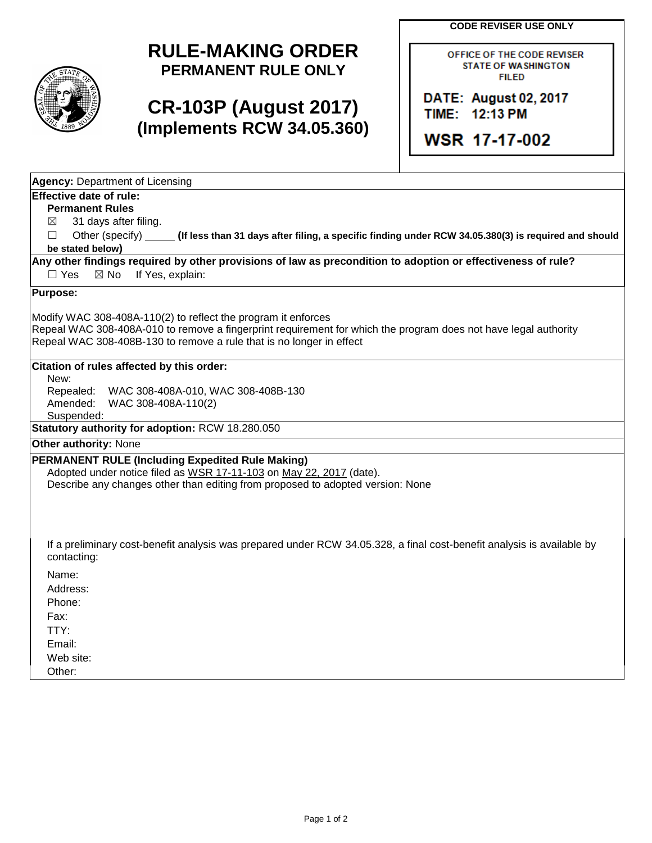**CODE REVISER USE ONLY**



## **RULE-MAKING ORDER PERMANENT RULE ONLY**

## **CR-103P (August 2017) (Implements RCW 34.05.360)**

OFFICE OF THE CODE REVISER **STATE OF WASHINGTON FILED** 

DATE: August 02, 2017 TIME: 12:13 PM

**WSR 17-17-002** 

| <b>Agency: Department of Licensing</b>                                                                                                |
|---------------------------------------------------------------------------------------------------------------------------------------|
| Effective date of rule:                                                                                                               |
| <b>Permanent Rules</b>                                                                                                                |
| 31 days after filing.<br>⊠                                                                                                            |
| Other (specify) _____ (If less than 31 days after filing, a specific finding under RCW 34.05.380(3) is required and should<br>П       |
| be stated below)                                                                                                                      |
| Any other findings required by other provisions of law as precondition to adoption or effectiveness of rule?                          |
| If Yes, explain:<br>$\Box$ Yes<br>$\boxtimes$ No                                                                                      |
| <b>Purpose:</b>                                                                                                                       |
| Modify WAC 308-408A-110(2) to reflect the program it enforces                                                                         |
| Repeal WAC 308-408A-010 to remove a fingerprint requirement for which the program does not have legal authority                       |
| Repeal WAC 308-408B-130 to remove a rule that is no longer in effect                                                                  |
|                                                                                                                                       |
| Citation of rules affected by this order:<br>New:                                                                                     |
| Repealed:<br>WAC 308-408A-010, WAC 308-408B-130                                                                                       |
| Amended:<br>WAC 308-408A-110(2)                                                                                                       |
| Suspended:                                                                                                                            |
| Statutory authority for adoption: RCW 18.280.050                                                                                      |
| <b>Other authority: None</b>                                                                                                          |
| PERMANENT RULE (Including Expedited Rule Making)                                                                                      |
| Adopted under notice filed as WSR 17-11-103 on May 22, 2017 (date).                                                                   |
| Describe any changes other than editing from proposed to adopted version: None                                                        |
|                                                                                                                                       |
|                                                                                                                                       |
|                                                                                                                                       |
| If a preliminary cost-benefit analysis was prepared under RCW 34.05.328, a final cost-benefit analysis is available by<br>contacting: |
| Name:                                                                                                                                 |
| Address:                                                                                                                              |
| Phone:                                                                                                                                |
| Fax:                                                                                                                                  |
| TTY:                                                                                                                                  |
| Email:                                                                                                                                |
| Web site:                                                                                                                             |
| Other:                                                                                                                                |
|                                                                                                                                       |